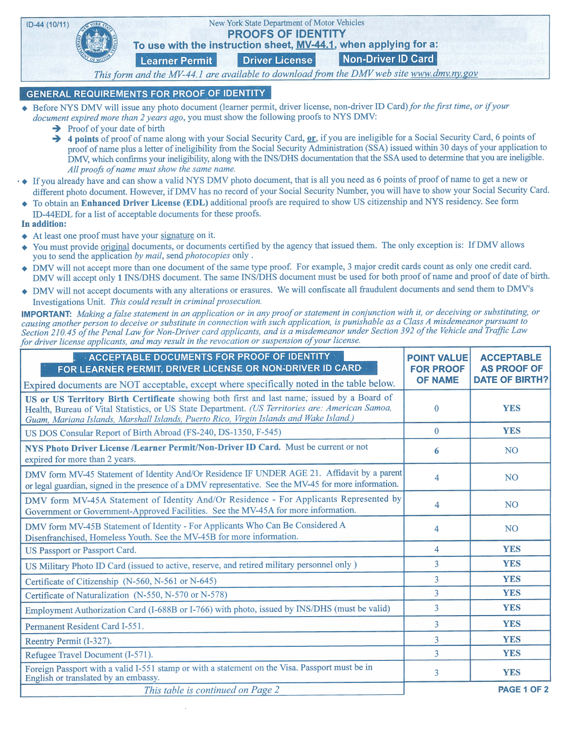

## **GENERAL REQUIREMENTS FOR PROOF OF IDENTITY**

- ◆ Before NYS DMV will issue any photo document (learner permit, driver license, non-driver ID Card) for the first time, or if your document expired more than 2 years ago, you must show the following proofs to NYS DMV:
	- $\rightarrow$  Proof of your date of birth
	- $\rightarrow$  4 points of proof of name along with your Social Security Card, or, if you are ineligible for a Social Security Card, 6 points of proof of name plus a letter of ineligibility from the Social Security Administration (SSA) issued within 30 days of your application to DMV, which confirms your ineligibility, along with the INS/DHS documentation that the SSA used to determine that you are ineligible. All proofs of name must show the same name.
- All proofs of name must show the same name.<br>  $\cdot \bullet$  If you already have and can show a valid NYS DMV photo document, that is all you need as 6 points of proof of name to get a new or different photo document. However, if DMV has no record of your Social Security Number, you will have to show your Social Security Card.
- . To obtain an Enhanced Driver License (EDL) additional proofs are required to show US citizenship and NYS residency. See form ID-44EDL for a list of acceptable documents for these proofs.
- In addition:
- At least one proof must have your signature on it.
- You must provide original documents, or documents certified by the agency that issued them. The only exception is: If DMV allows you to send the application by mail, send photocopies only.
- . DMV will not accept more than one document ofthe same type proof. For example, <sup>3</sup> major credit cards count as only one credit card. DMV will accept only 1 INS/DHS document. The same INS/DHS document must be used for both proof of name and proof of date of birth.
- ◆ DMV will not accept documents with any alterations or erasures. We will confiscate all fraudulent documents and send them to DMV's Investigations Unit. This could result in criminal prosecution.

**IMPORTANT:** Making a false statement in an application or in any proof or statement in conjunction with it, or deceiving or substituting, or causing another person to deceive or substitute in connection with such application, is punishable as a Class A misdemeanor pursuant to Section 210.45 of the Penal Law for Non-Driver card applicants, and is a misdemeanor under Section 392 of the Vehicle and Traffic Law for driver license applicants, and may result in the revocation or suspension of your license.

| <b>ACCEPTABLE DOCUMENTS FOR PROOF OF IDENTITY</b><br>FOR LEARNER PERMIT, DRIVER LICENSE OR NON-DRIVER ID CARD                                                                                                                                                                             | <b>POINT VALUE</b><br><b>FOR PROOF</b><br><b>OF NAME</b> | <b>ACCEPTABLE</b><br><b>AS PROOF OF</b><br><b>DATE OF BIRTH?</b> |
|-------------------------------------------------------------------------------------------------------------------------------------------------------------------------------------------------------------------------------------------------------------------------------------------|----------------------------------------------------------|------------------------------------------------------------------|
| Expired documents are NOT acceptable, except where specifically noted in the table below.                                                                                                                                                                                                 |                                                          |                                                                  |
| US or US Territory Birth Certificate showing both first and last name, issued by a Board of<br>Health, Bureau of Vital Statistics, or US State Department. (US Territories are: American Samoa,<br>Guam, Mariana Islands, Marshall Islands, Puerto Rico, Virgin Islands and Wake Island.) | $\Omega$                                                 | <b>YES</b>                                                       |
| US DOS Consular Report of Birth Abroad (FS-240, DS-1350, F-545)                                                                                                                                                                                                                           | $\Omega$                                                 | <b>YES</b>                                                       |
| NYS Photo Driver License /Learner Permit/Non-Driver ID Card. Must be current or not<br>expired for more than 2 years.                                                                                                                                                                     | 6                                                        | <b>NO</b>                                                        |
| DMV form MV-45 Statement of Identity And/Or Residence IF UNDER AGE 21. Affidavit by a parent<br>or legal guardian, signed in the presence of a DMV representative. See the MV-45 for more information.                                                                                    | 4                                                        | <b>NO</b>                                                        |
| DMV form MV-45A Statement of Identity And/Or Residence - For Applicants Represented by<br>Government or Government-Approved Facilities. See the MV-45A for more information.                                                                                                              | 4                                                        | <b>NO</b>                                                        |
| DMV form MV-45B Statement of Identity - For Applicants Who Can Be Considered A<br>Disenfranchised, Homeless Youth. See the MV-45B for more information.                                                                                                                                   | 4                                                        | <b>NO</b>                                                        |
| US Passport or Passport Card.                                                                                                                                                                                                                                                             | $\overline{4}$                                           | <b>YES</b>                                                       |
| US Military Photo ID Card (issued to active, reserve, and retired military personnel only)                                                                                                                                                                                                | 3                                                        | <b>YES</b>                                                       |
| Certificate of Citizenship (N-560, N-561 or N-645)                                                                                                                                                                                                                                        | 3                                                        | <b>YES</b>                                                       |
| Certificate of Naturalization (N-550, N-570 or N-578)                                                                                                                                                                                                                                     | 3                                                        | <b>YES</b>                                                       |
| Employment Authorization Card (I-688B or I-766) with photo, issued by INS/DHS (must be valid)                                                                                                                                                                                             | 3                                                        | <b>YES</b>                                                       |
| Permanent Resident Card I-551.                                                                                                                                                                                                                                                            | 3                                                        | <b>YES</b>                                                       |
| Reentry Permit (I-327).                                                                                                                                                                                                                                                                   | 3                                                        | <b>YES</b>                                                       |
| Refugee Travel Document (I-571).                                                                                                                                                                                                                                                          | 3                                                        | <b>YES</b>                                                       |
| Foreign Passport with a valid I-551 stamp or with a statement on the Visa. Passport must be in<br>English or translated by an embassy.                                                                                                                                                    | 3                                                        | <b>YES</b>                                                       |
| This table is continued on Page 2                                                                                                                                                                                                                                                         |                                                          | PAGE 1 OF 2                                                      |